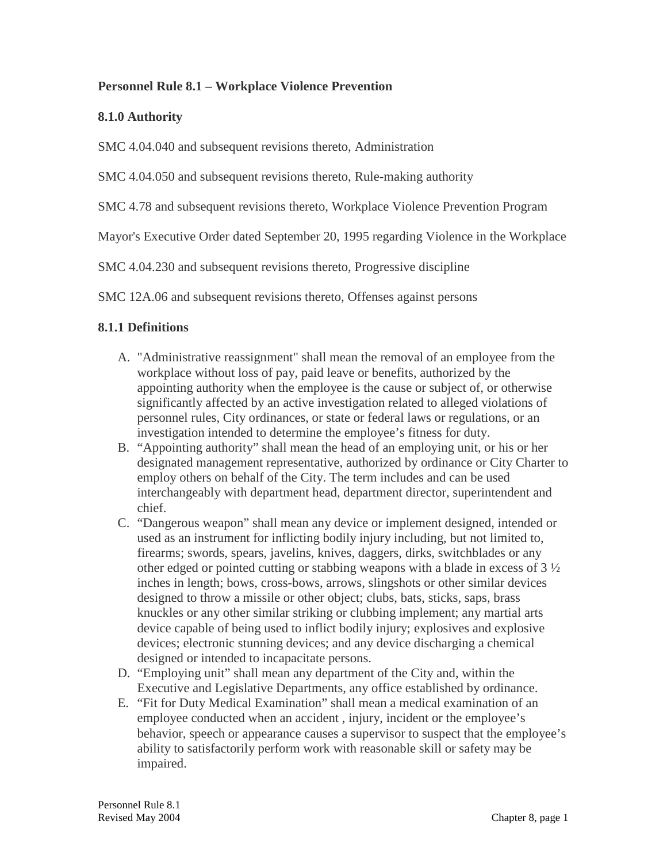### **Personnel Rule 8.1 – Workplace Violence Prevention**

### **8.1.0 Authority**

SMC 4.04.040 and subsequent revisions thereto, Administration

SMC 4.04.050 and subsequent revisions thereto, Rule-making authority

SMC 4.78 and subsequent revisions thereto, Workplace Violence Prevention Program

Mayor's Executive Order dated September 20, 1995 regarding Violence in the Workplace

SMC 4.04.230 and subsequent revisions thereto, Progressive discipline

SMC 12A.06 and subsequent revisions thereto, Offenses against persons

## **8.1.1 Definitions**

- A. "Administrative reassignment" shall mean the removal of an employee from the workplace without loss of pay, paid leave or benefits, authorized by the appointing authority when the employee is the cause or subject of, or otherwise significantly affected by an active investigation related to alleged violations of personnel rules, City ordinances, or state or federal laws or regulations, or an investigation intended to determine the employee's fitness for duty.
- B. "Appointing authority" shall mean the head of an employing unit, or his or her designated management representative, authorized by ordinance or City Charter to employ others on behalf of the City. The term includes and can be used interchangeably with department head, department director, superintendent and chief.
- C. "Dangerous weapon" shall mean any device or implement designed, intended or used as an instrument for inflicting bodily injury including, but not limited to, firearms; swords, spears, javelins, knives, daggers, dirks, switchblades or any other edged or pointed cutting or stabbing weapons with a blade in excess of 3 ½ inches in length; bows, cross-bows, arrows, slingshots or other similar devices designed to throw a missile or other object; clubs, bats, sticks, saps, brass knuckles or any other similar striking or clubbing implement; any martial arts device capable of being used to inflict bodily injury; explosives and explosive devices; electronic stunning devices; and any device discharging a chemical designed or intended to incapacitate persons.
- D. "Employing unit" shall mean any department of the City and, within the Executive and Legislative Departments, any office established by ordinance.
- E. "Fit for Duty Medical Examination" shall mean a medical examination of an employee conducted when an accident , injury, incident or the employee's behavior, speech or appearance causes a supervisor to suspect that the employee's ability to satisfactorily perform work with reasonable skill or safety may be impaired.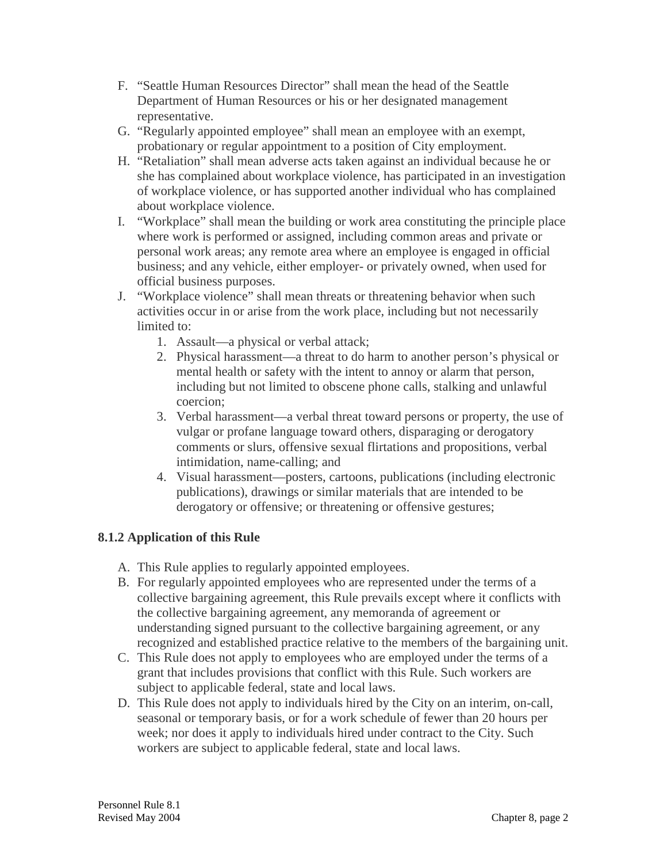- F. "Seattle Human Resources Director" shall mean the head of the Seattle Department of Human Resources or his or her designated management representative.
- G. "Regularly appointed employee" shall mean an employee with an exempt, probationary or regular appointment to a position of City employment.
- H. "Retaliation" shall mean adverse acts taken against an individual because he or she has complained about workplace violence, has participated in an investigation of workplace violence, or has supported another individual who has complained about workplace violence.
- I. "Workplace" shall mean the building or work area constituting the principle place where work is performed or assigned, including common areas and private or personal work areas; any remote area where an employee is engaged in official business; and any vehicle, either employer- or privately owned, when used for official business purposes.
- J. "Workplace violence" shall mean threats or threatening behavior when such activities occur in or arise from the work place, including but not necessarily limited to:
	- 1. Assault—a physical or verbal attack;
	- 2. Physical harassment—a threat to do harm to another person's physical or mental health or safety with the intent to annoy or alarm that person, including but not limited to obscene phone calls, stalking and unlawful coercion;
	- 3. Verbal harassment—a verbal threat toward persons or property, the use of vulgar or profane language toward others, disparaging or derogatory comments or slurs, offensive sexual flirtations and propositions, verbal intimidation, name-calling; and
	- 4. Visual harassment—posters, cartoons, publications (including electronic publications), drawings or similar materials that are intended to be derogatory or offensive; or threatening or offensive gestures;

# **8.1.2 Application of this Rule**

- A. This Rule applies to regularly appointed employees.
- B. For regularly appointed employees who are represented under the terms of a collective bargaining agreement, this Rule prevails except where it conflicts with the collective bargaining agreement, any memoranda of agreement or understanding signed pursuant to the collective bargaining agreement, or any recognized and established practice relative to the members of the bargaining unit.
- C. This Rule does not apply to employees who are employed under the terms of a grant that includes provisions that conflict with this Rule. Such workers are subject to applicable federal, state and local laws.
- D. This Rule does not apply to individuals hired by the City on an interim, on-call, seasonal or temporary basis, or for a work schedule of fewer than 20 hours per week; nor does it apply to individuals hired under contract to the City. Such workers are subject to applicable federal, state and local laws.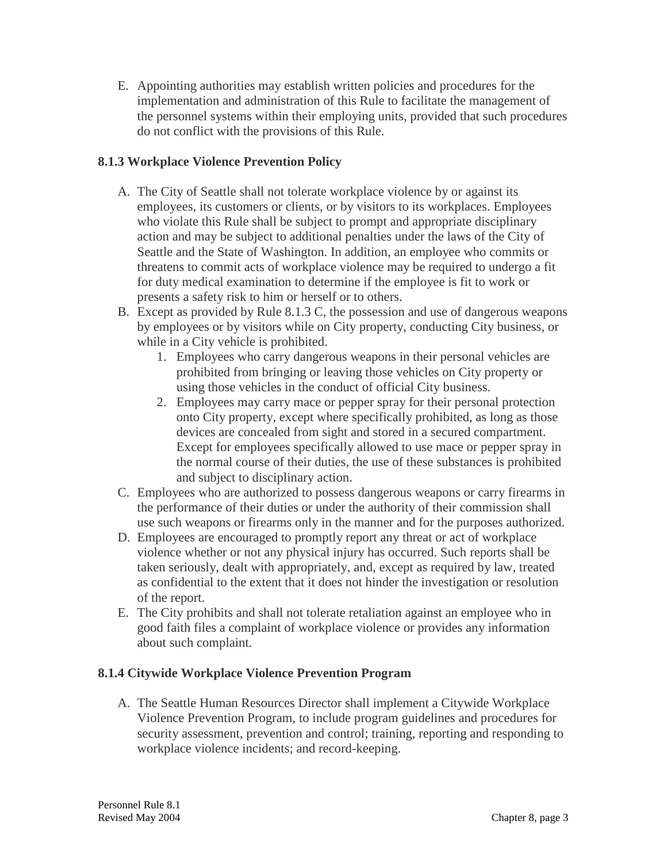E. Appointing authorities may establish written policies and procedures for the implementation and administration of this Rule to facilitate the management of the personnel systems within their employing units, provided that such procedures do not conflict with the provisions of this Rule.

## **8.1.3 Workplace Violence Prevention Policy**

- A. The City of Seattle shall not tolerate workplace violence by or against its employees, its customers or clients, or by visitors to its workplaces. Employees who violate this Rule shall be subject to prompt and appropriate disciplinary action and may be subject to additional penalties under the laws of the City of Seattle and the State of Washington. In addition, an employee who commits or threatens to commit acts of workplace violence may be required to undergo a fit for duty medical examination to determine if the employee is fit to work or presents a safety risk to him or herself or to others.
- B. Except as provided by Rule 8.1.3 C, the possession and use of dangerous weapons by employees or by visitors while on City property, conducting City business, or while in a City vehicle is prohibited.
	- 1. Employees who carry dangerous weapons in their personal vehicles are prohibited from bringing or leaving those vehicles on City property or using those vehicles in the conduct of official City business.
	- 2. Employees may carry mace or pepper spray for their personal protection onto City property, except where specifically prohibited, as long as those devices are concealed from sight and stored in a secured compartment. Except for employees specifically allowed to use mace or pepper spray in the normal course of their duties, the use of these substances is prohibited and subject to disciplinary action.
- C. Employees who are authorized to possess dangerous weapons or carry firearms in the performance of their duties or under the authority of their commission shall use such weapons or firearms only in the manner and for the purposes authorized.
- D. Employees are encouraged to promptly report any threat or act of workplace violence whether or not any physical injury has occurred. Such reports shall be taken seriously, dealt with appropriately, and, except as required by law, treated as confidential to the extent that it does not hinder the investigation or resolution of the report.
- E. The City prohibits and shall not tolerate retaliation against an employee who in good faith files a complaint of workplace violence or provides any information about such complaint.

### **8.1.4 Citywide Workplace Violence Prevention Program**

A. The Seattle Human Resources Director shall implement a Citywide Workplace Violence Prevention Program, to include program guidelines and procedures for security assessment, prevention and control; training, reporting and responding to workplace violence incidents; and record-keeping.